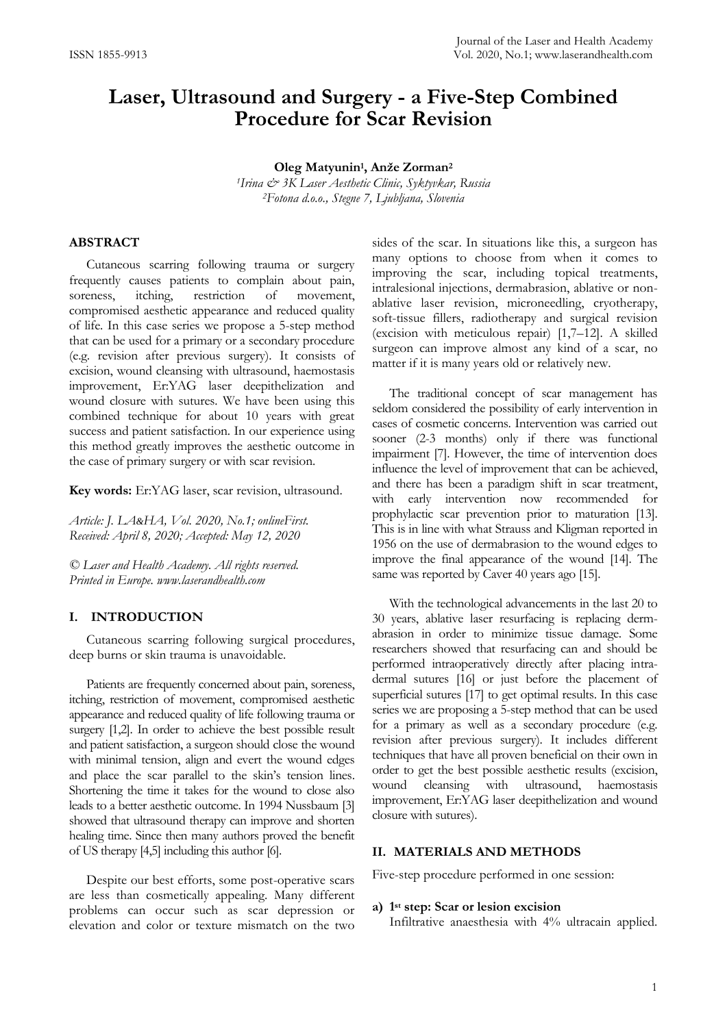# **Laser, Ultrasound and Surgery - a Five-Step Combined Procedure for Scar Revision**

**Oleg Matyunin<sup>1</sup> , Anže Zorman<sup>2</sup>** *<sup>1</sup>Irina & 3K Laser Aesthetic Clinic, Syktyvkar, Russia <sup>2</sup>Fotona d.o.o., Stegne 7, Ljubljana, Slovenia*

## **ABSTRACT**

Cutaneous scarring following trauma or surgery frequently causes patients to complain about pain, soreness, itching, restriction of movement, soreness, itching, restriction of movement, compromised aesthetic appearance and reduced quality of life. In this case series we propose a 5-step method that can be used for a primary or a secondary procedure (e.g. revision after previous surgery). It consists of excision, wound cleansing with ultrasound, haemostasis improvement, Er:YAG laser deepithelization and wound closure with sutures. We have been using this combined technique for about 10 years with great success and patient satisfaction. In our experience using this method greatly improves the aesthetic outcome in the case of primary surgery or with scar revision.

**Key words:** Er:YAG laser, scar revision, ultrasound.

*Article: J. LA&HA, Vol. 2020, No.1; onlineFirst. Received: April 8, 2020; Accepted: May 12, 2020*

*© Laser and Health Academy. All rights reserved. Printed in Europe. www.laserandhealth.com*

#### **I. INTRODUCTION**

Cutaneous scarring following surgical procedures, deep burns or skin trauma is unavoidable.

Patients are frequently concerned about pain, soreness, itching, restriction of movement, compromised aesthetic appearance and reduced quality of life following trauma or surgery [1,2]. In order to achieve the best possible result and patient satisfaction, a surgeon should close the wound with minimal tension, align and evert the wound edges and place the scar parallel to the skin's tension lines. Shortening the time it takes for the wound to close also leads to a better aesthetic outcome. In 1994 Nussbaum [3] showed that ultrasound therapy can improve and shorten healing time. Since then many authors proved the benefit of US therapy [4,5] including this author [6].

Despite our best efforts, some post-operative scars are less than cosmetically appealing. Many different problems can occur such as scar depression or elevation and color or texture mismatch on the two sides of the scar. In situations like this, a surgeon has many options to choose from when it comes to improving the scar, including topical treatments, intralesional injections, dermabrasion, ablative or nonablative laser revision, microneedling, cryotherapy, soft-tissue fillers, radiotherapy and surgical revision (excision with meticulous repair) [1,7–12]. A skilled surgeon can improve almost any kind of a scar, no matter if it is many years old or relatively new.

The traditional concept of scar management has seldom considered the possibility of early intervention in cases of cosmetic concerns. Intervention was carried out sooner (2-3 months) only if there was functional impairment [7]. However, the time of intervention does influence the level of improvement that can be achieved, and there has been a paradigm shift in scar treatment, with early intervention now recommended for prophylactic scar prevention prior to maturation [13]. This is in line with what Strauss and Kligman reported in 1956 on the use of dermabrasion to the wound edges to improve the final appearance of the wound [14]. The same was reported by Caver 40 years ago [15].

With the technological advancements in the last 20 to 30 years, ablative laser resurfacing is replacing dermabrasion in order to minimize tissue damage. Some researchers showed that resurfacing can and should be performed intraoperatively directly after placing intradermal sutures [16] or just before the placement of superficial sutures [17] to get optimal results. In this case series we are proposing a 5-step method that can be used for a primary as well as a secondary procedure (e.g. revision after previous surgery). It includes different techniques that have all proven beneficial on their own in order to get the best possible aesthetic results (excision, wound cleansing with ultrasound, haemostasis improvement, Er:YAG laser deepithelization and wound closure with sutures).

## **II. MATERIALS AND METHODS**

Five-step procedure performed in one session:

#### **a) 1 st step: Scar or lesion excision**

Infiltrative anaesthesia with 4% ultracain applied.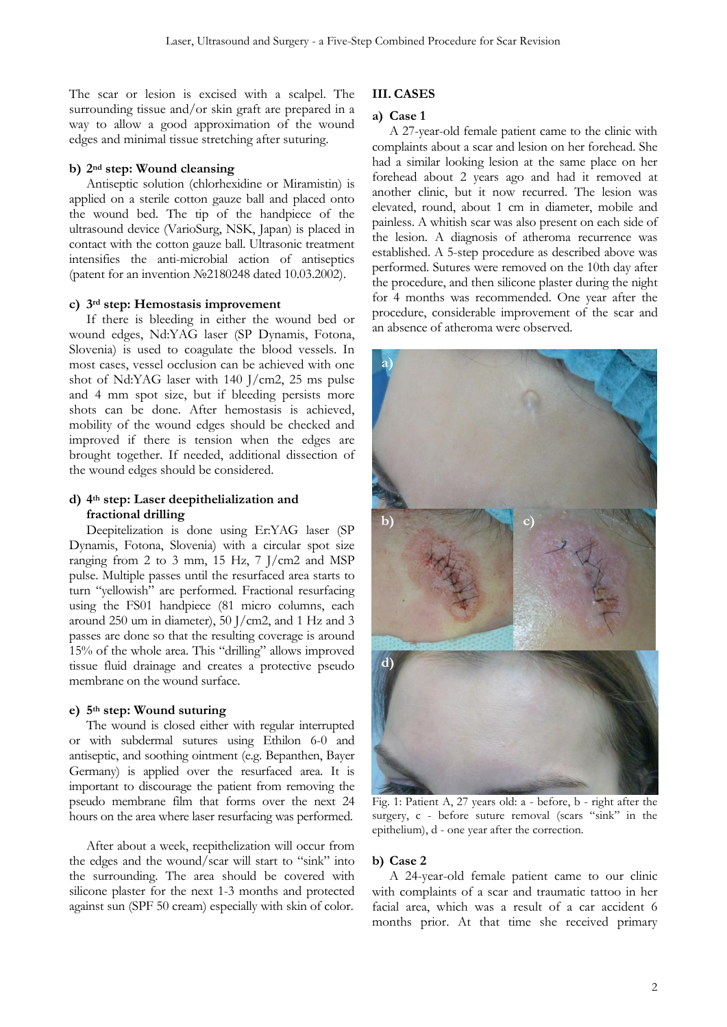The scar or lesion is excised with a scalpel. The surrounding tissue and/or skin graft are prepared in a way to allow a good approximation of the wound edges and minimal tissue stretching after suturing.

## **b) 2nd step: Wound cleansing**

Antiseptic solution (chlorhexidine or Miramistin) is applied on a sterile cotton gauze ball and placed onto the wound bed. The tip of the handpiece of the ultrasound device (VarioSurg, NSK, Japan) is placed in contact with the cotton gauze ball. Ultrasonic treatment intensifies the anti-microbial action of antiseptics (patent for an invention №2180248 dated 10.03.2002).

## **c) 3rd step: Hemostasis improvement**

If there is bleeding in either the wound bed or wound edges, Nd:YAG laser (SP Dynamis, Fotona, Slovenia) is used to coagulate the blood vessels. In most cases, vessel occlusion can be achieved with one shot of Nd:YAG laser with 140 J/cm2, 25 ms pulse and 4 mm spot size, but if bleeding persists more shots can be done. After hemostasis is achieved, mobility of the wound edges should be checked and improved if there is tension when the edges are brought together. If needed, additional dissection of the wound edges should be considered.

# **d) 4th step: Laser deepithelialization and fractional drilling**

Deepitelization is done using Er:YAG laser (SP Dynamis, Fotona, Slovenia) with a circular spot size ranging from 2 to 3 mm, 15 Hz, 7 J/cm2 and MSP pulse. Multiple passes until the resurfaced area starts to turn "yellowish" are performed. Fractional resurfacing using the FS01 handpiece (81 micro columns, each around 250 um in diameter), 50 J/cm2, and 1 Hz and 3 passes are done so that the resulting coverage is around 15% of the whole area. This "drilling" allows improved tissue fluid drainage and creates a protective pseudo membrane on the wound surface.

# **e) 5th step: Wound suturing**

The wound is closed either with regular interrupted or with subdermal sutures using Ethilon 6-0 and antiseptic, and soothing ointment (e.g. Bepanthen, Bayer Germany) is applied over the resurfaced area. It is important to discourage the patient from removing the pseudo membrane film that forms over the next 24 hours on the area where laser resurfacing was performed.

After about a week, reepithelization will occur from the edges and the wound/scar will start to "sink" into the surrounding. The area should be covered with silicone plaster for the next 1-3 months and protected against sun (SPF 50 cream) especially with skin of color.

# **III. CASES**

## **a) Case 1**

A 27-year-old female patient came to the clinic with complaints about a scar and lesion on her forehead. She had a similar looking lesion at the same place on her forehead about 2 years ago and had it removed at another clinic, but it now recurred. The lesion was elevated, round, about 1 cm in diameter, mobile and painless. A whitish scar was also present on each side of the lesion. A diagnosis of atheroma recurrence was established. A 5-step procedure as described above was performed. Sutures were removed on the 10th day after the procedure, and then silicone plaster during the night for 4 months was recommended. One year after the procedure, considerable improvement of the scar and an absence of atheroma were observed.



Fig. 1: Patient A, 27 years old: a - before, b - right after the surgery, c - before suture removal (scars "sink" in the epithelium), d - one year after the correction.

## **b) Case 2**

A 24-year-old female patient came to our clinic with complaints of a scar and traumatic tattoo in her facial area, which was a result of a car accident 6 months prior. At that time she received primary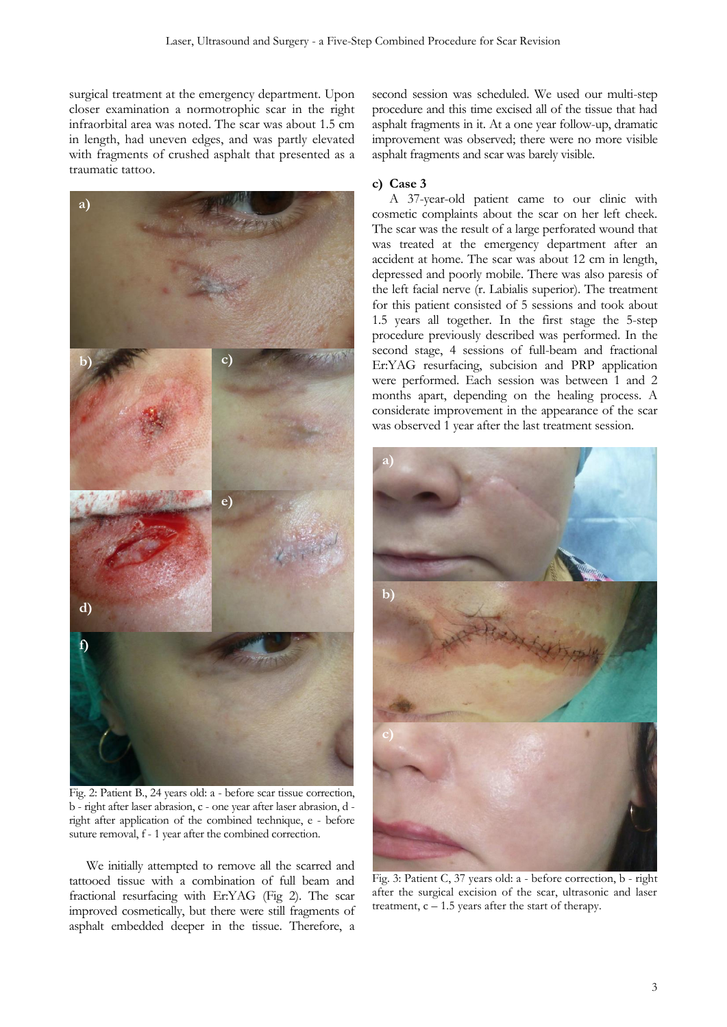surgical treatment at the emergency department. Upon closer examination a normotrophic scar in the right infraorbital area was noted. The scar was about 1.5 cm in length, had uneven edges, and was partly elevated with fragments of crushed asphalt that presented as a traumatic tattoo.



Fig. 2: Patient B., 24 years old: a - before scar tissue correction, b - right after laser abrasion, c - one year after laser abrasion, d right after application of the combined technique, e - before suture removal, f - 1 year after the combined correction.

We initially attempted to remove all the scarred and tattooed tissue with a combination of full beam and fractional resurfacing with Er:YAG (Fig 2). The scar improved cosmetically, but there were still fragments of asphalt embedded deeper in the tissue. Therefore, a

second session was scheduled. We used our multi-step procedure and this time excised all of the tissue that had asphalt fragments in it. At a one year follow-up, dramatic improvement was observed; there were no more visible asphalt fragments and scar was barely visible.

## **c) Case 3**

A 37-year-old patient came to our clinic with cosmetic complaints about the scar on her left cheek. The scar was the result of a large perforated wound that was treated at the emergency department after an accident at home. The scar was about 12 cm in length, depressed and poorly mobile. There was also paresis of the left facial nerve (r. Labialis superior). The treatment for this patient consisted of 5 sessions and took about 1.5 years all together. In the first stage the 5-step procedure previously described was performed. In the second stage, 4 sessions of full-beam and fractional Er:YAG resurfacing, subcision and PRP application were performed. Each session was between 1 and 2 months apart, depending on the healing process. A considerate improvement in the appearance of the scar was observed 1 year after the last treatment session.



Fig. 3: Patient C, 37 years old: a - before correction, b - right after the surgical excision of the scar, ultrasonic and laser treatment,  $c - 1.5$  years after the start of therapy.